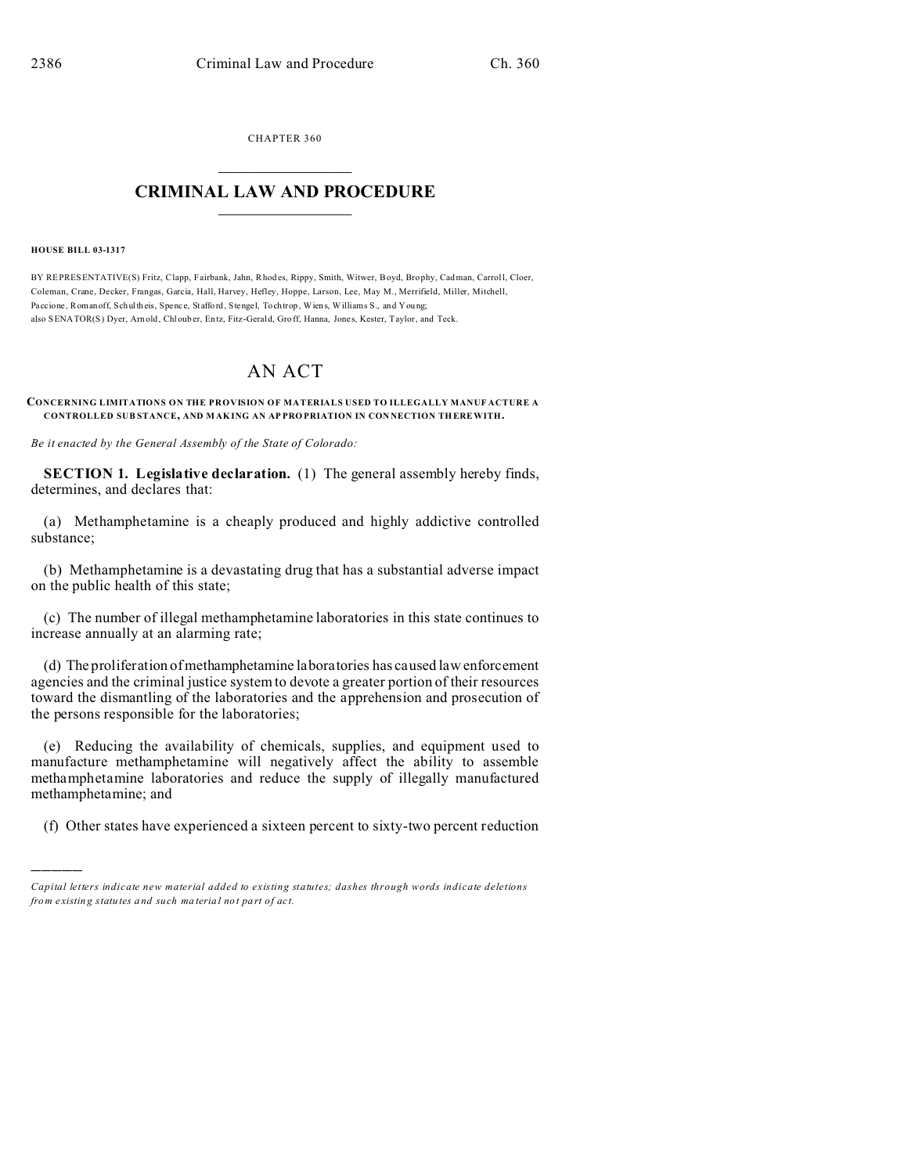CHAPTER 360  $\overline{\phantom{a}}$  , where  $\overline{\phantom{a}}$ 

## **CRIMINAL LAW AND PROCEDURE**  $\_$   $\_$   $\_$   $\_$   $\_$   $\_$   $\_$   $\_$   $\_$

## **HOUSE BILL 03-1317**

)))))

BY REPRESENTATIVE(S) Fritz, Clapp, Fairbank, Jahn, Rhodes, Rippy, Smith, Witwer, Boyd, Bro phy, Cadman, Carroll, Cloer, Coleman, Crane, Decker, Frangas, Garcia, Hall, Harvey, Hefley, Hoppe, Larson, Lee, May M., Merrifield, Miller, Mitchell, Paccione, Romanoff, Schultheis, Spence, Stafford, Stengel, Tochtrop, Wiens, Williams S., and Young; also SENATOR(S) Dyer, Arn old, Chloub er, En tz, Fitz -Gerald, Gro ff, Hanna, Jones, Kester, Taylor, and Teck.

## AN ACT

## **CONCERNING LIMITATIONS ON THE PROVISION OF MATERIALS USED TO ILLEGALLY MANUF ACTURE A CONTROLLED SUB STANCE, AND MAK ING AN AP PRO PRIATION IN CON NECTION TH EREWITH.**

*Be it enacted by the General Assembly of the State of Colorado:*

**SECTION 1. Legislative declaration.** (1) The general assembly hereby finds, determines, and declares that:

(a) Methamphetamine is a cheaply produced and highly addictive controlled substance;

(b) Methamphetamine is a devastating drug that has a substantial adverse impact on the public health of this state;

(c) The number of illegal methamphetamine laboratories in this state continues to increase annually at an alarming rate;

(d) The proliferation of methamphetamine laboratories has caused law enforcement agencies and the criminal justice system to devote a greater portion of their resources toward the dismantling of the laboratories and the apprehension and prosecution of the persons responsible for the laboratories;

(e) Reducing the availability of chemicals, supplies, and equipment used to manufacture methamphetamine will negatively affect the ability to assemble methamphetamine laboratories and reduce the supply of illegally manufactured methamphetamine; and

(f) Other states have experienced a sixteen percent to sixty-two percent reduction

*Capital letters indicate new material added to existing statutes; dashes through words indicate deletions from e xistin g statu tes a nd such ma teria l no t pa rt of ac t.*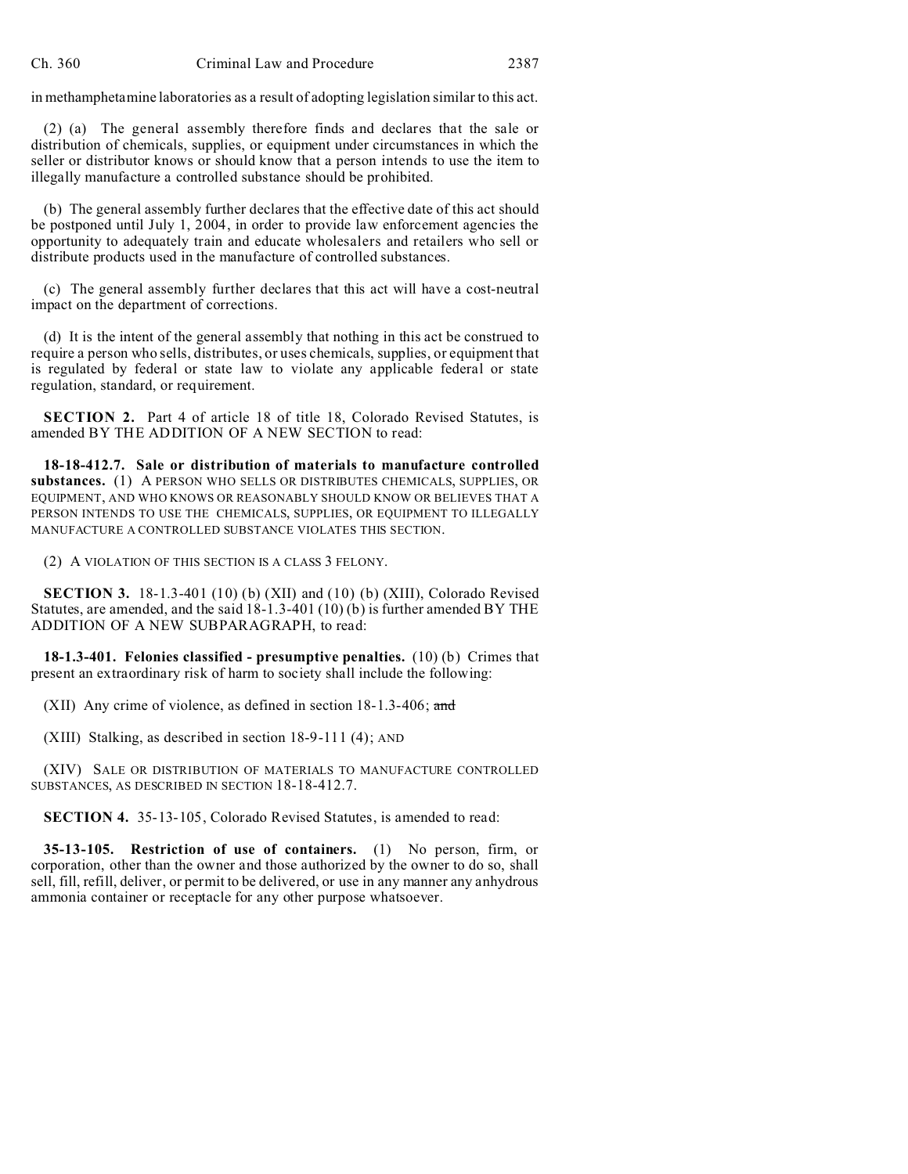in methamphetamine laboratories as a result of adopting legislation similar to this act.

(2) (a) The general assembly therefore finds and declares that the sale or distribution of chemicals, supplies, or equipment under circumstances in which the seller or distributor knows or should know that a person intends to use the item to illegally manufacture a controlled substance should be prohibited.

(b) The general assembly further declares that the effective date of this act should be postponed until July 1, 2004, in order to provide law enforcement agencies the opportunity to adequately train and educate wholesalers and retailers who sell or distribute products used in the manufacture of controlled substances.

(c) The general assembly further declares that this act will have a cost-neutral impact on the department of corrections.

(d) It is the intent of the general assembly that nothing in this act be construed to require a person who sells, distributes, or uses chemicals, supplies, or equipment that is regulated by federal or state law to violate any applicable federal or state regulation, standard, or requirement.

**SECTION 2.** Part 4 of article 18 of title 18, Colorado Revised Statutes, is amended BY THE ADDITION OF A NEW SECTION to read:

**18-18-412.7. Sale or distribution of materials to manufacture controlled substances.** (1) A PERSON WHO SELLS OR DISTRIBUTES CHEMICALS, SUPPLIES, OR EQUIPMENT, AND WHO KNOWS OR REASONABLY SHOULD KNOW OR BELIEVES THAT A PERSON INTENDS TO USE THE CHEMICALS, SUPPLIES, OR EQUIPMENT TO ILLEGALLY MANUFACTURE A CONTROLLED SUBSTANCE VIOLATES THIS SECTION.

(2) A VIOLATION OF THIS SECTION IS A CLASS 3 FELONY.

**SECTION 3.** 18-1.3-401 (10) (b) (XII) and (10) (b) (XIII), Colorado Revised Statutes, are amended, and the said 18-1.3-401 (10) (b) is further amended BY THE ADDITION OF A NEW SUBPARAGRAPH, to read:

**18-1.3-401. Felonies classified - presumptive penalties.** (10) (b) Crimes that present an extraordinary risk of harm to society shall include the following:

(XII) Any crime of violence, as defined in section  $18-1.3-406$ ; and

(XIII) Stalking, as described in section 18-9-111 (4); AND

(XIV) SALE OR DISTRIBUTION OF MATERIALS TO MANUFACTURE CONTROLLED SUBSTANCES, AS DESCRIBED IN SECTION 18-18-412.7.

**SECTION 4.** 35-13-105, Colorado Revised Statutes, is amended to read:

**35-13-105. Restriction of use of containers.** (1) No person, firm, or corporation, other than the owner and those authorized by the owner to do so, shall sell, fill, refill, deliver, or permit to be delivered, or use in any manner any anhydrous ammonia container or receptacle for any other purpose whatsoever.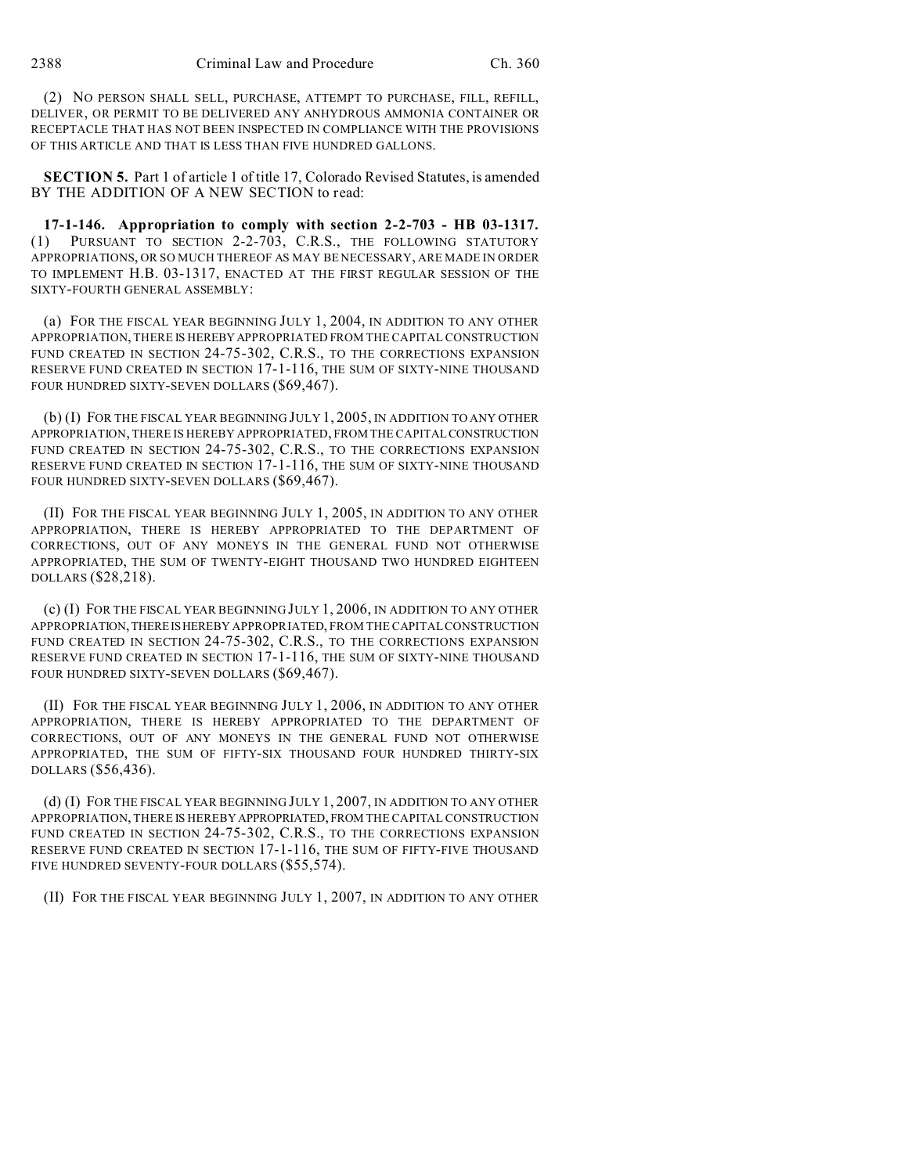(2) NO PERSON SHALL SELL, PURCHASE, ATTEMPT TO PURCHASE, FILL, REFILL, DELIVER, OR PERMIT TO BE DELIVERED ANY ANHYDROUS AMMONIA CONTAINER OR RECEPTACLE THAT HAS NOT BEEN INSPECTED IN COMPLIANCE WITH THE PROVISIONS OF THIS ARTICLE AND THAT IS LESS THAN FIVE HUNDRED GALLONS.

**SECTION 5.** Part 1 of article 1 of title 17, Colorado Revised Statutes, is amended BY THE ADDITION OF A NEW SECTION to read:

**17-1-146. Appropriation to comply with section 2-2-703 - HB 03-1317.** (1) PURSUANT TO SECTION 2-2-703, C.R.S., THE FOLLOWING STATUTORY APPROPRIATIONS, OR SO MUCH THEREOF AS MAY BE NECESSARY, ARE MADE IN ORDER TO IMPLEMENT H.B. 03-1317, ENACTED AT THE FIRST REGULAR SESSION OF THE SIXTY-FOURTH GENERAL ASSEMBLY:

(a) FOR THE FISCAL YEAR BEGINNING JULY 1, 2004, IN ADDITION TO ANY OTHER APPROPRIATION, THERE IS HEREBYAPPROPRIATED FROM THE CAPITAL CONSTRUCTION FUND CREATED IN SECTION 24-75-302, C.R.S., TO THE CORRECTIONS EXPANSION RESERVE FUND CREATED IN SECTION 17-1-116, THE SUM OF SIXTY-NINE THOUSAND FOUR HUNDRED SIXTY-SEVEN DOLLARS (\$69,467).

(b) (I) FOR THE FISCAL YEAR BEGINNING JULY 1, 2005, IN ADDITION TO ANY OTHER APPROPRIATION, THERE IS HEREBY APPROPRIATED, FROM THE CAPITALCONSTRUCTION FUND CREATED IN SECTION 24-75-302, C.R.S., TO THE CORRECTIONS EXPANSION RESERVE FUND CREATED IN SECTION 17-1-116, THE SUM OF SIXTY-NINE THOUSAND FOUR HUNDRED SIXTY-SEVEN DOLLARS (\$69,467).

(II) FOR THE FISCAL YEAR BEGINNING JULY 1, 2005, IN ADDITION TO ANY OTHER APPROPRIATION, THERE IS HEREBY APPROPRIATED TO THE DEPARTMENT OF CORRECTIONS, OUT OF ANY MONEYS IN THE GENERAL FUND NOT OTHERWISE APPROPRIATED, THE SUM OF TWENTY-EIGHT THOUSAND TWO HUNDRED EIGHTEEN DOLLARS (\$28,218).

(c) (I) FOR THE FISCAL YEAR BEGINNING JULY 1, 2006, IN ADDITION TO ANY OTHER APPROPRIATION,THEREISHEREBY APPROPRIATED, FROM THE CAPITAL CONSTRUCTION FUND CREATED IN SECTION 24-75-302, C.R.S., TO THE CORRECTIONS EXPANSION RESERVE FUND CREATED IN SECTION 17-1-116, THE SUM OF SIXTY-NINE THOUSAND FOUR HUNDRED SIXTY-SEVEN DOLLARS (\$69,467).

(II) FOR THE FISCAL YEAR BEGINNING JULY 1, 2006, IN ADDITION TO ANY OTHER APPROPRIATION, THERE IS HEREBY APPROPRIATED TO THE DEPARTMENT OF CORRECTIONS, OUT OF ANY MONEYS IN THE GENERAL FUND NOT OTHERWISE APPROPRIATED, THE SUM OF FIFTY-SIX THOUSAND FOUR HUNDRED THIRTY-SIX DOLLARS (\$56,436).

(d) (I) FOR THE FISCAL YEAR BEGINNING JULY 1, 2007, IN ADDITION TO ANY OTHER APPROPRIATION, THERE IS HEREBY APPROPRIATED, FROM THE CAPITAL CONSTRUCTION FUND CREATED IN SECTION 24-75-302, C.R.S., TO THE CORRECTIONS EXPANSION RESERVE FUND CREATED IN SECTION 17-1-116, THE SUM OF FIFTY-FIVE THOUSAND FIVE HUNDRED SEVENTY-FOUR DOLLARS (\$55,574).

(II) FOR THE FISCAL YEAR BEGINNING JULY 1, 2007, IN ADDITION TO ANY OTHER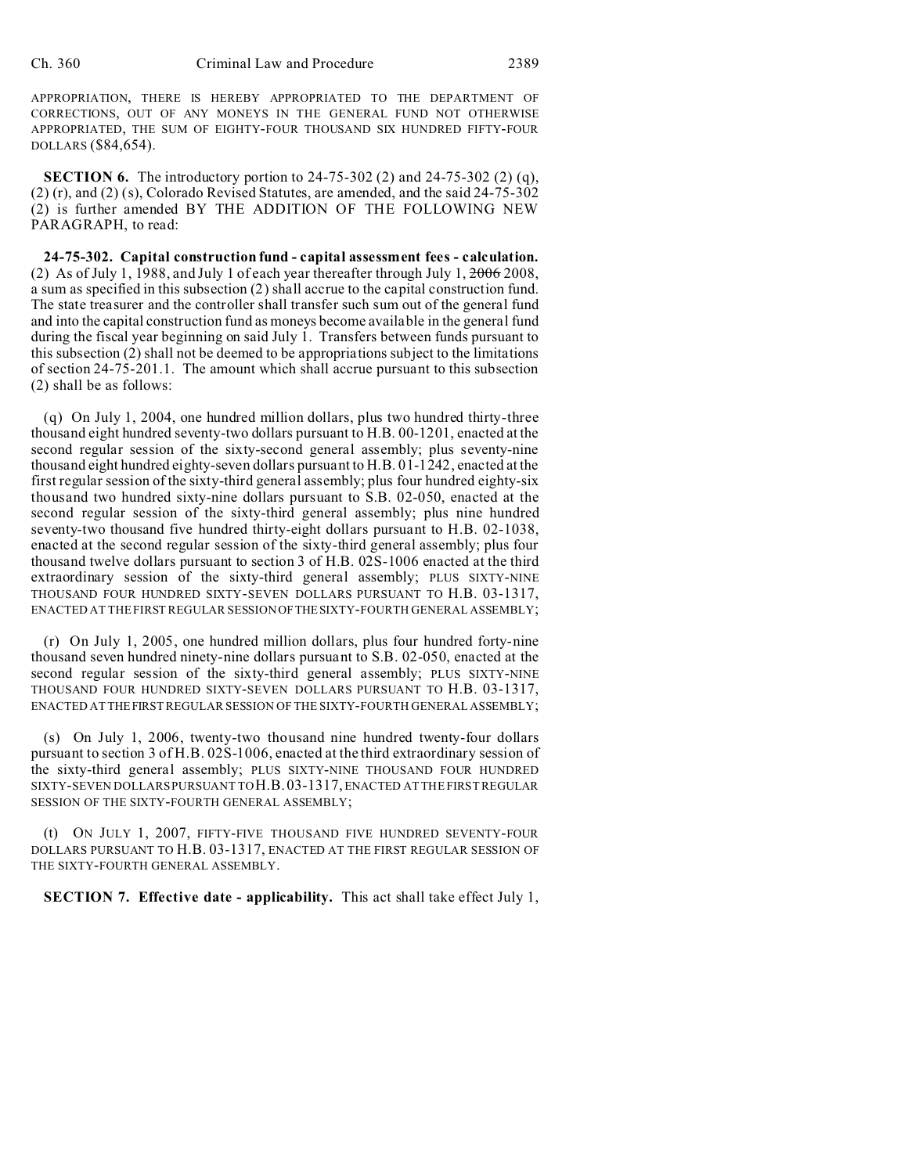APPROPRIATION, THERE IS HEREBY APPROPRIATED TO THE DEPARTMENT OF CORRECTIONS, OUT OF ANY MONEYS IN THE GENERAL FUND NOT OTHERWISE APPROPRIATED, THE SUM OF EIGHTY-FOUR THOUSAND SIX HUNDRED FIFTY-FOUR DOLLARS (\$84,654).

**SECTION 6.** The introductory portion to 24-75-302 (2) and 24-75-302 (2) (q), (2) (r), and (2) (s), Colorado Revised Statutes, are amended, and the said 24-75-302 (2) is further amended BY THE ADDITION OF THE FOLLOWING NEW PARAGRAPH, to read:

**24-75-302. Capital construction fund - capital assessment fees - calculation.** (2) As of July 1, 1988, and July 1 of each year thereafter through July 1, 2006 2008, a sum as specified in this subsection (2) shall accrue to the capital construction fund. The state treasurer and the controller shall transfer such sum out of the general fund and into the capital construction fund as moneys become available in the general fund during the fiscal year beginning on said July 1. Transfers between funds pursuant to this subsection (2) shall not be deemed to be appropriations subject to the limitations of section 24-75-201.1. The amount which shall accrue pursuant to this subsection (2) shall be as follows:

(q) On July 1, 2004, one hundred million dollars, plus two hundred thirty-three thousand eight hundred seventy-two dollars pursuant to H.B. 00-1201, enacted at the second regular session of the sixty-second general assembly; plus seventy-nine thousand eight hundred eighty-seven dollars pursuant to H.B. 01-1242, enacted at the first regular session of the sixty-third general assembly; plus four hundred eighty-six thousand two hundred sixty-nine dollars pursuant to S.B. 02-050, enacted at the second regular session of the sixty-third general assembly; plus nine hundred seventy-two thousand five hundred thirty-eight dollars pursuant to H.B. 02-1038, enacted at the second regular session of the sixty-third general assembly; plus four thousand twelve dollars pursuant to section 3 of H.B. 02S-1006 enacted at the third extraordinary session of the sixty-third general assembly; PLUS SIXTY-NINE THOUSAND FOUR HUNDRED SIXTY-SEVEN DOLLARS PURSUANT TO H.B. 03-1317, ENACTED AT THE FIRST REGULAR SESSION OFTHESIXTY-FOURTH GENERAL ASSEMBLY;

(r) On July 1, 2005, one hundred million dollars, plus four hundred forty-nine thousand seven hundred ninety-nine dollars pursuant to S.B. 02-050, enacted at the second regular session of the sixty-third general assembly; PLUS SIXTY-NINE THOUSAND FOUR HUNDRED SIXTY-SEVEN DOLLARS PURSUANT TO H.B. 03-1317, ENACTED AT THEFIRST REGULAR SESSION OF THE SIXTY-FOURTH GENERAL ASSEMBLY;

(s) On July 1, 2006, twenty-two thousand nine hundred twenty-four dollars pursuant to section 3 of H.B. 02S-1006, enacted at the third extraordinary session of the sixty-third general assembly; PLUS SIXTY-NINE THOUSAND FOUR HUNDRED SIXTY-SEVEN DOLLARS PURSUANT TO H.B.03-1317, ENACTED AT THE FIRST REGULAR SESSION OF THE SIXTY-FOURTH GENERAL ASSEMBLY;

(t) ON JULY 1, 2007, FIFTY-FIVE THOUSAND FIVE HUNDRED SEVENTY-FOUR DOLLARS PURSUANT TO H.B. 03-1317, ENACTED AT THE FIRST REGULAR SESSION OF THE SIXTY-FOURTH GENERAL ASSEMBLY.

**SECTION 7. Effective date - applicability.** This act shall take effect July 1,